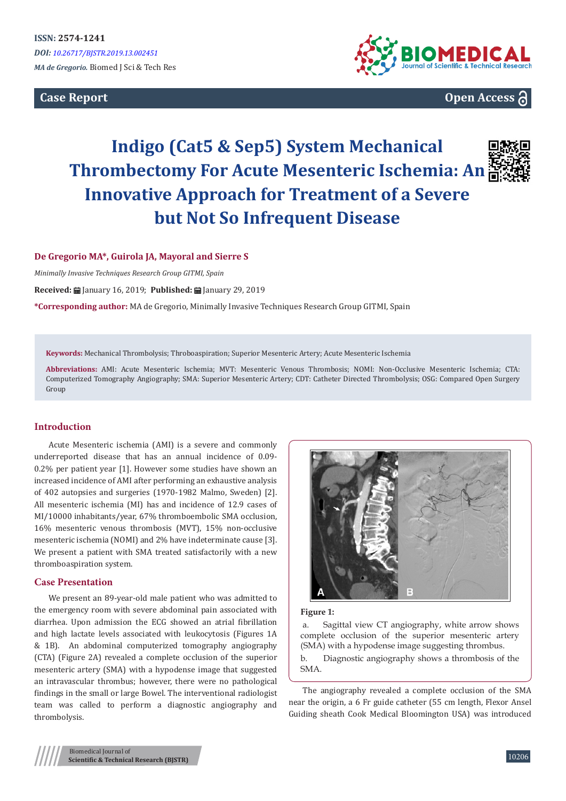**Case Report**



**Open Access**

# **Indigo (Cat5 & Sep5) System Mechanical Thrombectomy For Acute Mesenteric Ischemia: An Innovative Approach for Treatment of a Severe but Not So Infrequent Disease**



## **De Gregorio MA\*, Guirola JA, Mayoral and Sierre S**

*Minimally Invasive Techniques Research Group GITMI, Spain*

**Received:** January 16, 2019; **Published:** January 29, 2019

**\*Corresponding author:** MA de Gregorio, Minimally Invasive Techniques Research Group GITMI, Spain

**Keywords:** Mechanical Thrombolysis; Throboaspiration; Superior Mesenteric Artery; Acute Mesenteric Ischemia

**Abbreviations:** AMI: Acute Mesenteric Ischemia; MVT: Mesenteric Venous Thrombosis; NOMI: Non-Occlusive Mesenteric Ischemia; CTA: Computerized Tomography Angiography; SMA: Superior Mesenteric Artery; CDT: Catheter Directed Thrombolysis; OSG: Compared Open Surgery Group

## **Introduction**

Acute Mesenteric ischemia (AMI) is a severe and commonly underreported disease that has an annual incidence of 0.09- 0.2% per patient year [1]. However some studies have shown an increased incidence of AMI after performing an exhaustive analysis of 402 autopsies and surgeries (1970-1982 Malmo, Sweden) [2]. All mesenteric ischemia (MI) has and incidence of 12.9 cases of MI/10000 inhabitants/year, 67% thromboembolic SMA occlusion, 16% mesenteric venous thrombosis (MVT), 15% non-occlusive mesenteric ischemia (NOMI) and 2% have indeterminate cause [3]. We present a patient with SMA treated satisfactorily with a new thromboaspiration system.

## **Case Presentation**

We present an 89-year-old male patient who was admitted to the emergency room with severe abdominal pain associated with diarrhea. Upon admission the ECG showed an atrial fibrillation and high lactate levels associated with leukocytosis (Figures 1A & 1B). An abdominal computerized tomography angiography (CTA) (Figure 2A) revealed a complete occlusion of the superior mesenteric artery (SMA) with a hypodense image that suggested an intravascular thrombus; however, there were no pathological findings in the small or large Bowel. The interventional radiologist team was called to perform a diagnostic angiography and thrombolysis.



#### **Figure 1:**

 a. Sagittal view CT angiography, white arrow shows complete occlusion of the superior mesenteric artery (SMA) with a hypodense image suggesting thrombus.

b. Diagnostic angiography shows a thrombosis of the SMA.

The angiography revealed a complete occlusion of the SMA near the origin, a 6 Fr guide catheter (55 cm length, Flexor Ansel Guiding sheath Cook Medical Bloomington USA) was introduced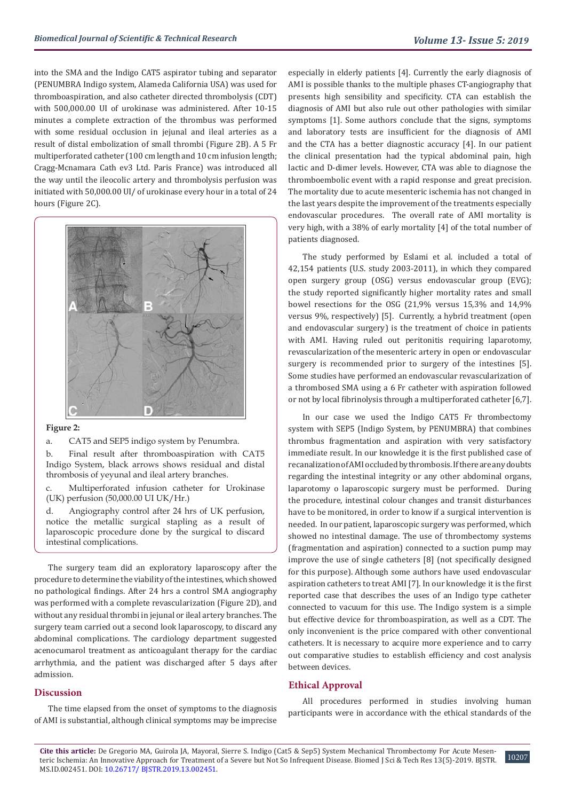into the SMA and the Indigo CAT5 aspirator tubing and separator (PENUMBRA Indigo system, Alameda California USA) was used for thromboaspiration, and also catheter directed thrombolysis (CDT) with 500,000.00 UI of urokinase was administered. After 10-15 minutes a complete extraction of the thrombus was performed with some residual occlusion in jejunal and ileal arteries as a result of distal embolization of small thrombi (Figure 2B). A 5 Fr multiperforated catheter (100 cm length and 10 cm infusion length; Cragg-Mcnamara Cath ev3 Ltd. Paris France) was introduced all the way until the ileocolic artery and thrombolysis perfusion was initiated with 50,000.00 UI/ of urokinase every hour in a total of 24 hours (Figure 2C).



### **Figure 2:**

a. CAT5 and SEP5 indigo system by Penumbra.

b. Final result after thromboaspiration with CAT5 Indigo System, black arrows shows residual and distal thrombosis of yeyunal and ileal artery branches.

c. Multiperforated infusion catheter for Urokinase (UK) perfusion (50,000.00 UI UK/Hr.)

d. Angiography control after 24 hrs of UK perfusion, notice the metallic surgical stapling as a result of laparoscopic procedure done by the surgical to discard intestinal complications.

The surgery team did an exploratory laparoscopy after the procedure to determine the viability of the intestines, which showed no pathological findings. After 24 hrs a control SMA angiography was performed with a complete revascularization (Figure 2D), and without any residual thrombi in jejunal or ileal artery branches. The surgery team carried out a second look laparoscopy, to discard any abdominal complications. The cardiology department suggested acenocumarol treatment as anticoagulant therapy for the cardiac arrhythmia, and the patient was discharged after 5 days after admission.

## **Discussion**

The time elapsed from the onset of symptoms to the diagnosis of AMI is substantial, although clinical symptoms may be imprecise

especially in elderly patients [4]. Currently the early diagnosis of AMI is possible thanks to the multiple phases CT-angiography that presents high sensibility and specificity. CTA can establish the diagnosis of AMI but also rule out other pathologies with similar symptoms [1]. Some authors conclude that the signs, symptoms and laboratory tests are insufficient for the diagnosis of AMI and the CTA has a better diagnostic accuracy [4]. In our patient the clinical presentation had the typical abdominal pain, high lactic and D-dimer levels. However, CTA was able to diagnose the thromboembolic event with a rapid response and great precision. The mortality due to acute mesenteric ischemia has not changed in the last years despite the improvement of the treatments especially endovascular procedures. The overall rate of AMI mortality is very high, with a 38% of early mortality [4] of the total number of patients diagnosed.

The study performed by Eslami et al. included a total of 42,154 patients (U.S. study 2003-2011), in which they compared open surgery group (OSG) versus endovascular group (EVG); the study reported significantly higher mortality rates and small bowel resections for the OSG (21,9% versus 15,3% and 14,9% versus 9%, respectively) [5]. Currently, a hybrid treatment (open and endovascular surgery) is the treatment of choice in patients with AMI. Having ruled out peritonitis requiring laparotomy, revascularization of the mesenteric artery in open or endovascular surgery is recommended prior to surgery of the intestines [5]. Some studies have performed an endovascular revascularization of a thrombosed SMA using a 6 Fr catheter with aspiration followed or not by local fibrinolysis through a multiperforated catheter [6,7].

In our case we used the Indigo CAT5 Fr thrombectomy system with SEP5 (Indigo System, by PENUMBRA) that combines thrombus fragmentation and aspiration with very satisfactory immediate result. In our knowledge it is the first published case of recanalization of AMI occluded by thrombosis. If there are any doubts regarding the intestinal integrity or any other abdominal organs, laparotomy o laparoscopic surgery must be performed. During the procedure, intestinal colour changes and transit disturbances have to be monitored, in order to know if a surgical intervention is needed. In our patient, laparoscopic surgery was performed, which showed no intestinal damage. The use of thrombectomy systems (fragmentation and aspiration) connected to a suction pump may improve the use of single catheters [8] (not specifically designed for this purpose). Although some authors have used endovascular aspiration catheters to treat AMI [7]. In our knowledge it is the first reported case that describes the uses of an Indigo type catheter connected to vacuum for this use. The Indigo system is a simple but effective device for thromboaspiration, as well as a CDT. The only inconvenient is the price compared with other conventional catheters. It is necessary to acquire more experience and to carry out comparative studies to establish efficiency and cost analysis between devices.

## **Ethical Approval**

All procedures performed in studies involving human participants were in accordance with the ethical standards of the

10207